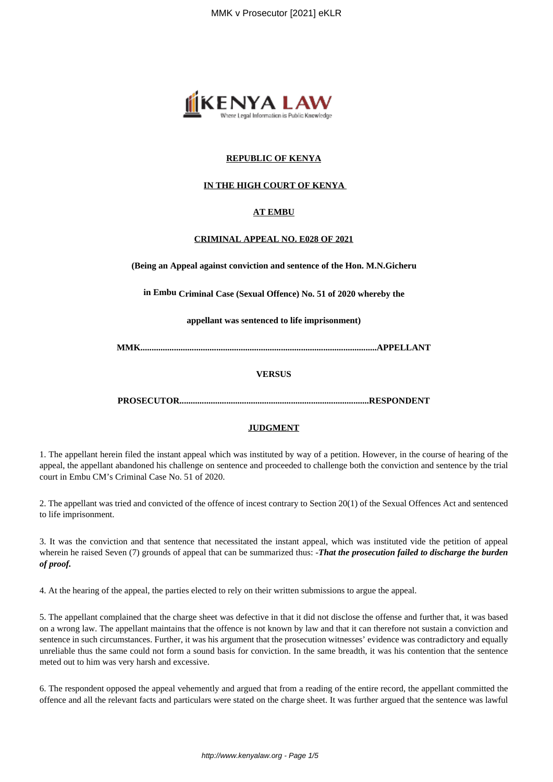

#### **REPUBLIC OF KENYA**

### **IN THE HIGH COURT OF KENYA**

#### **AT EMBU**

#### **CRIMINAL APPEAL NO. E028 OF 2021**

**(Being an Appeal against conviction and sentence of the Hon. M.N.Gicheru**

**in Embu Criminal Case (Sexual Offence) No. 51 of 2020 whereby the**

**appellant was sentenced to life imprisonment)**

**MMK..........................................................................................................APPELLANT**

#### **VERSUS**

**PROSECUTOR.....................................................................................RESPONDENT**

#### **JUDGMENT**

1. The appellant herein filed the instant appeal which was instituted by way of a petition. However, in the course of hearing of the appeal, the appellant abandoned his challenge on sentence and proceeded to challenge both the conviction and sentence by the trial court in Embu CM's Criminal Case No. 51 of 2020.

2. The appellant was tried and convicted of the offence of incest contrary to Section 20(1) of the Sexual Offences Act and sentenced to life imprisonment.

3. It was the conviction and that sentence that necessitated the instant appeal, which was instituted vide the petition of appeal wherein he raised Seven (7) grounds of appeal that can be summarized thus: *-That the prosecution failed to discharge the burden of proof.*

4. At the hearing of the appeal, the parties elected to rely on their written submissions to argue the appeal.

5. The appellant complained that the charge sheet was defective in that it did not disclose the offense and further that, it was based on a wrong law. The appellant maintains that the offence is not known by law and that it can therefore not sustain a conviction and sentence in such circumstances. Further, it was his argument that the prosecution witnesses' evidence was contradictory and equally unreliable thus the same could not form a sound basis for conviction. In the same breadth, it was his contention that the sentence meted out to him was very harsh and excessive.

6. The respondent opposed the appeal vehemently and argued that from a reading of the entire record, the appellant committed the offence and all the relevant facts and particulars were stated on the charge sheet. It was further argued that the sentence was lawful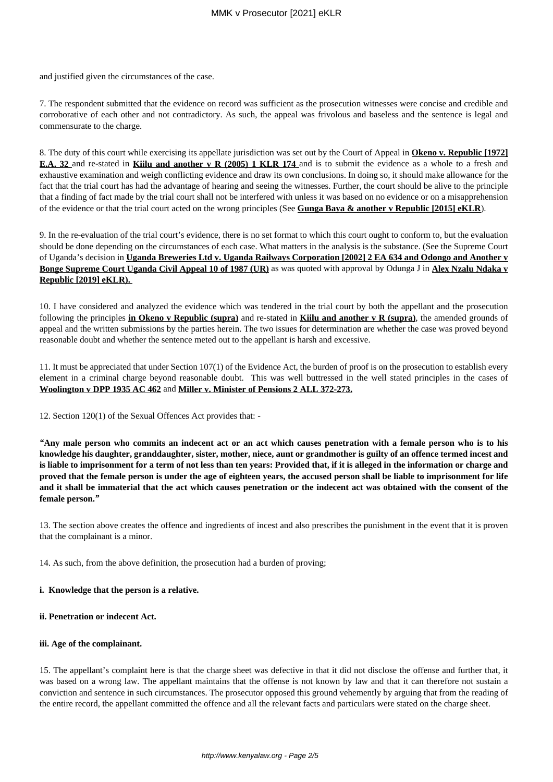and justified given the circumstances of the case.

7. The respondent submitted that the evidence on record was sufficient as the prosecution witnesses were concise and credible and corroborative of each other and not contradictory. As such, the appeal was frivolous and baseless and the sentence is legal and commensurate to the charge.

8. The duty of this court while exercising its appellate jurisdiction was set out by the Court of Appeal in **Okeno v. Republic [1972] E.A. 32** and re-stated in **Kiilu and another v R (2005) 1 KLR 174** and is to submit the evidence as a whole to a fresh and exhaustive examination and weigh conflicting evidence and draw its own conclusions. In doing so, it should make allowance for the fact that the trial court has had the advantage of hearing and seeing the witnesses. Further, the court should be alive to the principle that a finding of fact made by the trial court shall not be interfered with unless it was based on no evidence or on a misapprehension of the evidence or that the trial court acted on the wrong principles (See **Gunga Baya & another v Republic [2015] eKLR**).

9. In the re-evaluation of the trial court's evidence, there is no set format to which this court ought to conform to, but the evaluation should be done depending on the circumstances of each case. What matters in the analysis is the substance. (See the Supreme Court of Uganda's decision in **Uganda Breweries Ltd v. Uganda Railways Corporation [2002] 2 EA 634 and Odongo and Another v Bonge Supreme Court Uganda Civil Appeal 10 of 1987 (UR)** as was quoted with approval by Odunga J in **Alex Nzalu Ndaka v Republic [2019] eKLR).** 

10. I have considered and analyzed the evidence which was tendered in the trial court by both the appellant and the prosecution following the principles **in Okeno v Republic (supra)** and re-stated in **Kiilu and another v R (supra)**, the amended grounds of appeal and the written submissions by the parties herein. The two issues for determination are whether the case was proved beyond reasonable doubt and whether the sentence meted out to the appellant is harsh and excessive.

11. It must be appreciated that under Section 107(1) of the Evidence Act, the burden of proof is on the prosecution to establish every element in a criminal charge beyond reasonable doubt. This was well buttressed in the well stated principles in the cases of **Woolington v DPP 1935 AC 462** and **Miller v. Minister of Pensions 2 ALL 372-273.**

12. Section 120(1) of the Sexual Offences Act provides that: -

*"***Any male person who commits an indecent act or an act which causes penetration with a female person who is to his knowledge his daughter, granddaughter, sister, mother, niece, aunt or grandmother is guilty of an offence termed incest and is liable to imprisonment for a term of not less than ten years: Provided that, if it is alleged in the information or charge and proved that the female person is under the age of eighteen years, the accused person shall be liable to imprisonment for life and it shall be immaterial that the act which causes penetration or the indecent act was obtained with the consent of the female person.***"*

13. The section above creates the offence and ingredients of incest and also prescribes the punishment in the event that it is proven that the complainant is a minor.

14. As such, from the above definition, the prosecution had a burden of proving;

#### **i. Knowledge that the person is a relative.**

#### **ii. Penetration or indecent Act.**

#### **iii. Age of the complainant.**

15. The appellant's complaint here is that the charge sheet was defective in that it did not disclose the offense and further that, it was based on a wrong law. The appellant maintains that the offense is not known by law and that it can therefore not sustain a conviction and sentence in such circumstances. The prosecutor opposed this ground vehemently by arguing that from the reading of the entire record, the appellant committed the offence and all the relevant facts and particulars were stated on the charge sheet.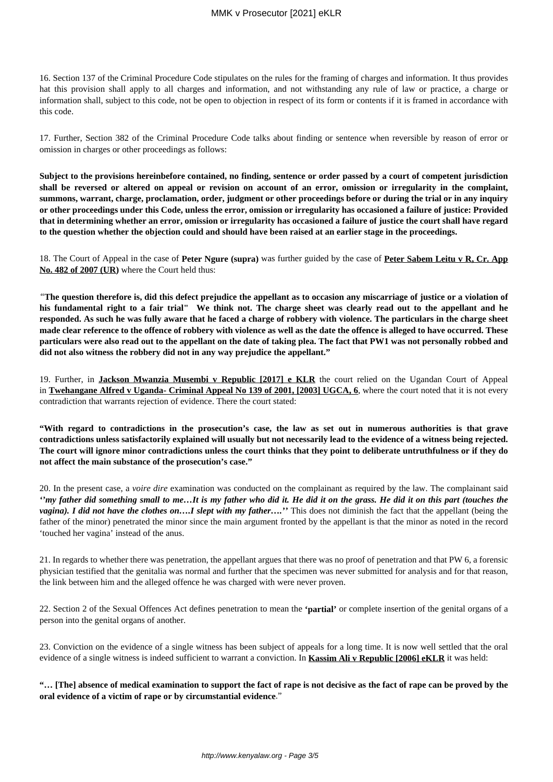16. Section 137 of the Criminal Procedure Code stipulates on the rules for the framing of charges and information. It thus provides hat this provision shall apply to all charges and information, and not withstanding any rule of law or practice, a charge or information shall, subject to this code, not be open to objection in respect of its form or contents if it is framed in accordance with this code.

17. Further, Section 382 of the Criminal Procedure Code talks about finding or sentence when reversible by reason of error or omission in charges or other proceedings as follows:

**Subject to the provisions hereinbefore contained, no finding, sentence or order passed by a court of competent jurisdiction shall be reversed or altered on appeal or revision on account of an error, omission or irregularity in the complaint, summons, warrant, charge, proclamation, order, judgment or other proceedings before or during the trial or in any inquiry or other proceedings under this Code, unless the error, omission or irregularity has occasioned a failure of justice: Provided that in determining whether an error, omission or irregularity has occasioned a failure of justice the court shall have regard to the question whether the objection could and should have been raised at an earlier stage in the proceedings.**

18. The Court of Appeal in the case of **Peter Ngure (supra)** was further guided by the case of **Peter Sabem Leitu v R, Cr. App No. 482 of 2007 (UR)** where the Court held thus:

*"***The question therefore is, did this defect prejudice the appellant as to occasion any miscarriage of justice or a violation of his fundamental right to a fair trial" We think not. The charge sheet was clearly read out to the appellant and he responded. As such he was fully aware that he faced a charge of robbery with violence. The particulars in the charge sheet made clear reference to the offence of robbery with violence as well as the date the offence is alleged to have occurred. These particulars were also read out to the appellant on the date of taking plea. The fact that PW1 was not personally robbed and did not also witness the robbery did not in any way prejudice the appellant."**

19. Further, in **Jackson Mwanzia Musembi v Republic [2017] e KLR** the court relied on the Ugandan Court of Appeal in **Twehangane Alfred v Uganda- Criminal Appeal No 139 of 2001, [2003] UGCA, 6**, where the court noted that it is not every contradiction that warrants rejection of evidence. There the court stated:

**"With regard to contradictions in the prosecution's case, the law as set out in numerous authorities is that grave contradictions unless satisfactorily explained will usually but not necessarily lead to the evidence of a witness being rejected. The court will ignore minor contradictions unless the court thinks that they point to deliberate untruthfulness or if they do not affect the main substance of the prosecution's case."**

20. In the present case, a *voire dire* examination was conducted on the complainant as required by the law. The complainant said *''my father did something small to me…It is my father who did it. He did it on the grass. He did it on this part (touches the vagina). I did not have the clothes on….I slept with my father….''* This does not diminish the fact that the appellant (being the father of the minor) penetrated the minor since the main argument fronted by the appellant is that the minor as noted in the record 'touched her vagina' instead of the anus.

21. In regards to whether there was penetration, the appellant argues that there was no proof of penetration and that PW 6, a forensic physician testified that the genitalia was normal and further that the specimen was never submitted for analysis and for that reason, the link between him and the alleged offence he was charged with were never proven.

22. Section 2 of the Sexual Offences Act defines penetration to mean the **'partial'** or complete insertion of the genital organs of a person into the genital organs of another.

23. Conviction on the evidence of a single witness has been subject of appeals for a long time. It is now well settled that the oral evidence of a single witness is indeed sufficient to warrant a conviction. In **Kassim Ali v Republic [2006] eKLR** it was held:

**"… [The] absence of medical examination to support the fact of rape is not decisive as the fact of rape can be proved by the oral evidence of a victim of rape or by circumstantial evidence**."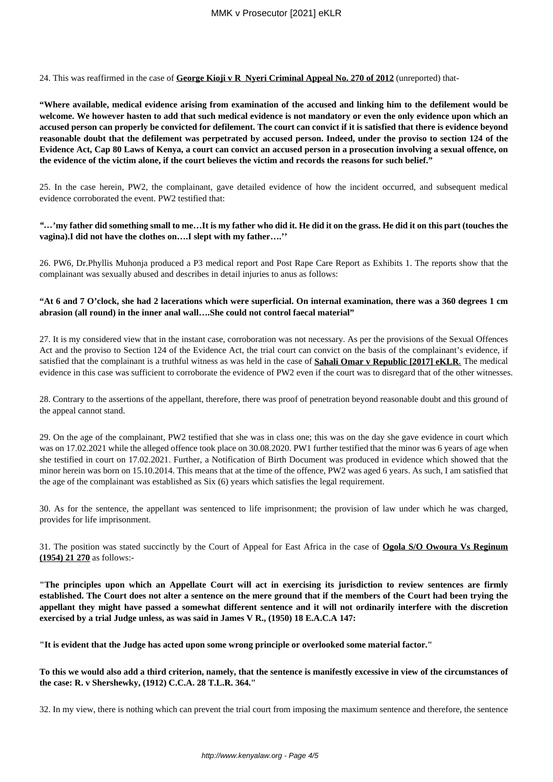24. This was reaffirmed in the case of **George Kioji v R Nyeri Criminal Appeal No. 270 of 2012** (unreported) that-

**"Where available, medical evidence arising from examination of the accused and linking him to the defilement would be welcome. We however hasten to add that such medical evidence is not mandatory or even the only evidence upon which an accused person can properly be convicted for defilement. The court can convict if it is satisfied that there is evidence beyond reasonable doubt that the defilement was perpetrated by accused person. Indeed, under the proviso to section 124 of the Evidence Act, Cap 80 Laws of Kenya, a court can convict an accused person in a prosecution involving a sexual offence, on the evidence of the victim alone, if the court believes the victim and records the reasons for such belief."**

25. In the case herein, PW2, the complainant, gave detailed evidence of how the incident occurred, and subsequent medical evidence corroborated the event. PW2 testified that:

#### *"…***'my father did something small to me…It is my father who did it. He did it on the grass. He did it on this part (touches the vagina).I did not have the clothes on….I slept with my father….''**

26. PW6, Dr.Phyllis Muhonja produced a P3 medical report and Post Rape Care Report as Exhibits 1. The reports show that the complainant was sexually abused and describes in detail injuries to anus as follows:

#### **"At 6 and 7 O'clock, she had 2 lacerations which were superficial. On internal examination, there was a 360 degrees 1 cm abrasion (all round) in the inner anal wall….She could not control faecal material"**

27. It is my considered view that in the instant case, corroboration was not necessary. As per the provisions of the Sexual Offences Act and the proviso to Section 124 of the Evidence Act, the trial court can convict on the basis of the complainant's evidence, if satisfied that the complainant is a truthful witness as was held in the case of **Sahali Omar v Republic [2017] eKLR***.* The medical evidence in this case was sufficient to corroborate the evidence of PW2 even if the court was to disregard that of the other witnesses.

28. Contrary to the assertions of the appellant, therefore, there was proof of penetration beyond reasonable doubt and this ground of the appeal cannot stand.

29. On the age of the complainant, PW2 testified that she was in class one; this was on the day she gave evidence in court which was on 17.02.2021 while the alleged offence took place on 30.08.2020. PW1 further testified that the minor was 6 years of age when she testified in court on 17.02.2021. Further, a Notification of Birth Document was produced in evidence which showed that the minor herein was born on 15.10.2014. This means that at the time of the offence, PW2 was aged 6 years. As such, I am satisfied that the age of the complainant was established as Six (6) years which satisfies the legal requirement.

30. As for the sentence, the appellant was sentenced to life imprisonment; the provision of law under which he was charged, provides for life imprisonment.

31. The position was stated succinctly by the Court of Appeal for East Africa in the case of **Ogola S/O Owoura Vs Reginum (1954) 21 270** as follows:-

**"The principles upon which an Appellate Court will act in exercising its jurisdiction to review sentences are firmly established. The Court does not alter a sentence on the mere ground that if the members of the Court had been trying the appellant they might have passed a somewhat different sentence and it will not ordinarily interfere with the discretion exercised by a trial Judge unless, as was said in James V R., (1950) 18 E.A.C.A 147:**

**"It is evident that the Judge has acted upon some wrong principle or overlooked some material factor."**

**To this we would also add a third criterion, namely, that the sentence is manifestly excessive in view of the circumstances of the case: R. v Shershewky, (1912) C.C.A. 28 T.L.R. 364."**

32. In my view, there is nothing which can prevent the trial court from imposing the maximum sentence and therefore, the sentence